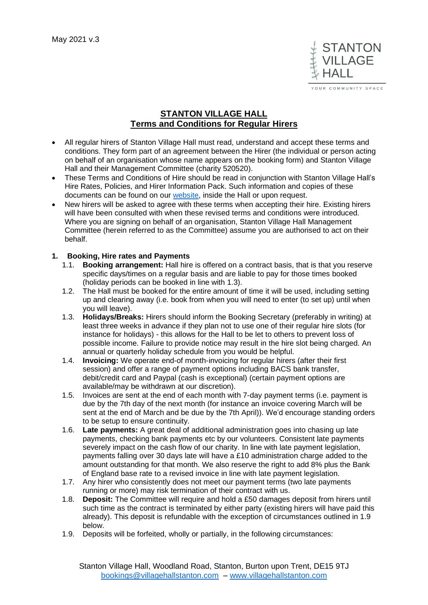

OUR COMMUNITY SPACE

# **STANTON VILLAGE HALL Terms and Conditions for Regular Hirers**

- All regular hirers of Stanton Village Hall must read, understand and accept these terms and conditions. They form part of an agreement between the Hirer (the individual or person acting on behalf of an organisation whose name appears on the booking form) and Stanton Village Hall and their Management Committee (charity 520520).
- These Terms and Conditions of Hire should be read in conjunction with Stanton Village Hall's Hire Rates, Policies, and Hirer Information Pack. Such information and copies of these documents can be found on our [website,](http://www.villagehallstanton.com/) inside the Hall or upon request.
- New hirers will be asked to agree with these terms when accepting their hire. Existing hirers will have been consulted with when these revised terms and conditions were introduced. Where you are signing on behalf of an organisation, Stanton Village Hall Management Committee (herein referred to as the Committee) assume you are authorised to act on their behalf.

## **1. Booking, Hire rates and Payments**

- 1.1. **Booking arrangement:** Hall hire is offered on a contract basis, that is that you reserve specific days/times on a regular basis and are liable to pay for those times booked (holiday periods can be booked in line with 1.3).
- 1.2. The Hall must be booked for the entire amount of time it will be used, including setting up and clearing away (i.e. book from when you will need to enter (to set up) until when you will leave).
- 1.3. **Holidays/Breaks:** Hirers should inform the Booking Secretary (preferably in writing) at least three weeks in advance if they plan not to use one of their regular hire slots (for instance for holidays) - this allows for the Hall to be let to others to prevent loss of possible income. Failure to provide notice may result in the hire slot being charged. An annual or quarterly holiday schedule from you would be helpful.
- 1.4. **Invoicing:** We operate end-of month-invoicing for regular hirers (after their first session) and offer a range of payment options including BACS bank transfer, debit/credit card and Paypal (cash is exceptional) (certain payment options are available/may be withdrawn at our discretion).
- 1.5. Invoices are sent at the end of each month with 7-day payment terms (i.e. payment is due by the 7th day of the next month (for instance an invoice covering March will be sent at the end of March and be due by the 7th April)). We'd encourage standing orders to be setup to ensure continuity.
- 1.6. **Late payments:** A great deal of additional administration goes into chasing up late payments, checking bank payments etc by our volunteers. Consistent late payments severely impact on the cash flow of our charity. In line with late payment legislation, payments falling over 30 days late will have a £10 administration charge added to the amount outstanding for that month. We also reserve the right to add 8% plus the Bank of England base rate to a revised invoice in line with late payment legislation.
- 1.7. Any hirer who consistently does not meet our payment terms (two late payments running or more) may risk termination of their contract with us.
- 1.8. **Deposit:** The Committee will require and hold a £50 damages deposit from hirers until such time as the contract is terminated by either party (existing hirers will have paid this already). This deposit is refundable with the exception of circumstances outlined in 1.9 below.
- 1.9. Deposits will be forfeited, wholly or partially, in the following circumstances: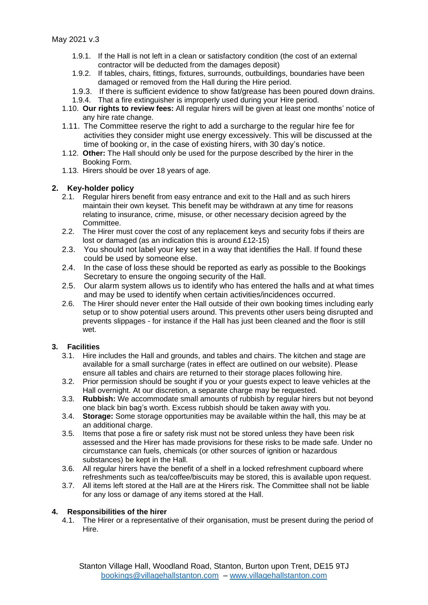- 1.9.1. If the Hall is not left in a clean or satisfactory condition (the cost of an external contractor will be deducted from the damages deposit)
- 1.9.2. If tables, chairs, fittings, fixtures, surrounds, outbuildings, boundaries have been damaged or removed from the Hall during the Hire period.
- 1.9.3. If there is sufficient evidence to show fat/grease has been poured down drains.
- 1.9.4. That a fire extinguisher is improperly used during your Hire period.
- 1.10. **Our rights to review fees:** All regular hirers will be given at least one months' notice of any hire rate change.
- 1.11. The Committee reserve the right to add a surcharge to the regular hire fee for activities they consider might use energy excessively. This will be discussed at the time of booking or, in the case of existing hirers, with 30 day's notice.
- 1.12. **Other:** The Hall should only be used for the purpose described by the hirer in the Booking Form.
- 1.13. Hirers should be over 18 years of age.

### **2. Key-holder policy**

- 2.1. Regular hirers benefit from easy entrance and exit to the Hall and as such hirers maintain their own keyset. This benefit may be withdrawn at any time for reasons relating to insurance, crime, misuse, or other necessary decision agreed by the Committee.
- 2.2. The Hirer must cover the cost of any replacement keys and security fobs if theirs are lost or damaged (as an indication this is around £12-15)
- 2.3. You should not label your key set in a way that identifies the Hall. If found these could be used by someone else.
- 2.4. In the case of loss these should be reported as early as possible to the Bookings Secretary to ensure the ongoing security of the Hall.
- 2.5. Our alarm system allows us to identify who has entered the halls and at what times and may be used to identify when certain activities/incidences occurred.
- 2.6. The Hirer should never enter the Hall outside of their own booking times including early setup or to show potential users around. This prevents other users being disrupted and prevents slippages - for instance if the Hall has just been cleaned and the floor is still wet.

### **3. Facilities**

- 3.1. Hire includes the Hall and grounds, and tables and chairs. The kitchen and stage are available for a small surcharge (rates in effect are outlined on our website). Please ensure all tables and chairs are returned to their storage places following hire.
- 3.2. Prior permission should be sought if you or your guests expect to leave vehicles at the Hall overnight. At our discretion, a separate charge may be requested.
- 3.3. **Rubbish:** We accommodate small amounts of rubbish by regular hirers but not beyond one black bin bag's worth. Excess rubbish should be taken away with you.
- 3.4. **Storage:** Some storage opportunities may be available within the hall, this may be at an additional charge.
- 3.5. Items that pose a fire or safety risk must not be stored unless they have been risk assessed and the Hirer has made provisions for these risks to be made safe. Under no circumstance can fuels, chemicals (or other sources of ignition or hazardous substances) be kept in the Hall.
- 3.6. All regular hirers have the benefit of a shelf in a locked refreshment cupboard where refreshments such as tea/coffee/biscuits may be stored, this is available upon request.
- 3.7. All items left stored at the Hall are at the Hirers risk. The Committee shall not be liable for any loss or damage of any items stored at the Hall.

### **4. Responsibilities of the hirer**

4.1. The Hirer or a representative of their organisation, must be present during the period of Hire.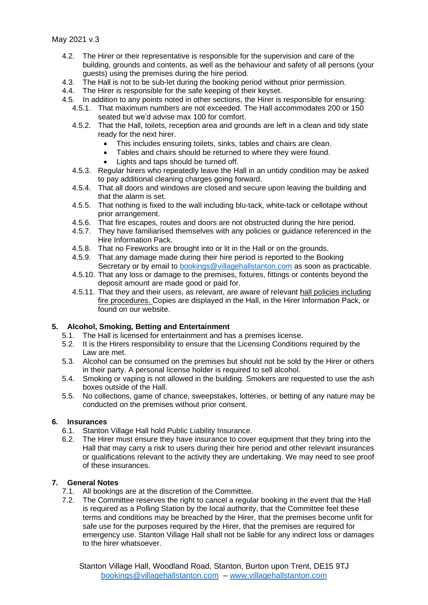May 2021 v.3

- 4.2. The Hirer or their representative is responsible for the supervision and care of the building, grounds and contents, as well as the behaviour and safety of all persons (your guests) using the premises during the hire period.
- 4.3. The Hall is not to be sub-let during the booking period without prior permission.
- 4.4. The Hirer is responsible for the safe keeping of their keyset.
- 4.5. In addition to any points noted in other sections, the Hirer is responsible for ensuring:
	- 4.5.1. That maximum numbers are not exceeded. The Hall accommodates 200 or 150 seated but we'd advise max 100 for comfort.
	- 4.5.2. That the Hall, toilets, reception area and grounds are left in a clean and tidy state ready for the next hirer.
		- This includes ensuring toilets, sinks, tables and chairs are clean.
		- Tables and chairs should be returned to where they were found.
		- Lights and taps should be turned off.
	- 4.5.3. Regular hirers who repeatedly leave the Hall in an untidy condition may be asked to pay additional cleaning charges going forward.
	- 4.5.4. That all doors and windows are closed and secure upon leaving the building and that the alarm is set.
	- 4.5.5. That nothing is fixed to the wall including blu-tack, white-tack or cellotape without prior arrangement.
	- 4.5.6. That fire escapes, routes and doors are not obstructed during the hire period.
	- 4.5.7. They have familiarised themselves with any policies or guidance referenced in the Hire Information Pack.
	- 4.5.8. That no Fireworks are brought into or lit in the Hall or on the grounds.
	- 4.5.9. That any damage made during their hire period is reported to the Booking Secretary or by email to [bookings@villagehallstanton.com](mailto:bookings@villagehallstanton.com) as soon as practicable.
	- 4.5.10. That any loss or damage to the premises, fixtures, fittings or contents beyond the deposit amount are made good or paid for.
	- 4.5.11. That they and their users, as relevant, are aware of relevant hall policies including fire procedures. Copies are displayed in the Hall, in the Hirer Information Pack, or found on our website.

### **5. Alcohol, Smoking, Betting and Entertainment**

- 5.1. The Hall is licensed for entertainment and has a premises license.
- 5.2. It is the Hirers responsibility to ensure that the Licensing Conditions required by the Law are met.
- 5.3. Alcohol can be consumed on the premises but should not be sold by the Hirer or others in their party. A personal license holder is required to sell alcohol.
- 5.4. Smoking or vaping is not allowed in the building. Smokers are requested to use the ash boxes outside of the Hall.
- 5.5. No collections, game of chance, sweepstakes, lotteries, or betting of any nature may be conducted on the premises without prior consent.

### **6. Insurances**

- 6.1. Stanton Village Hall hold Public Liability Insurance.
- 6.2. The Hirer must ensure they have insurance to cover equipment that they bring into the Hall that may carry a risk to users during their hire period and other relevant insurances or qualifications relevant to the activity they are undertaking. We may need to see proof of these insurances.

#### **7. General Notes**

- 7.1. All bookings are at the discretion of the Committee.
- 7.2. The Committee reserves the right to cancel a regular booking in the event that the Hall is required as a Polling Station by the local authority, that the Committee feel these terms and conditions may be breached by the Hirer, that the premises become unfit for safe use for the purposes required by the Hirer, that the premises are required for emergency use. Stanton Village Hall shall not be liable for any indirect loss or damages to the hirer whatsoever.